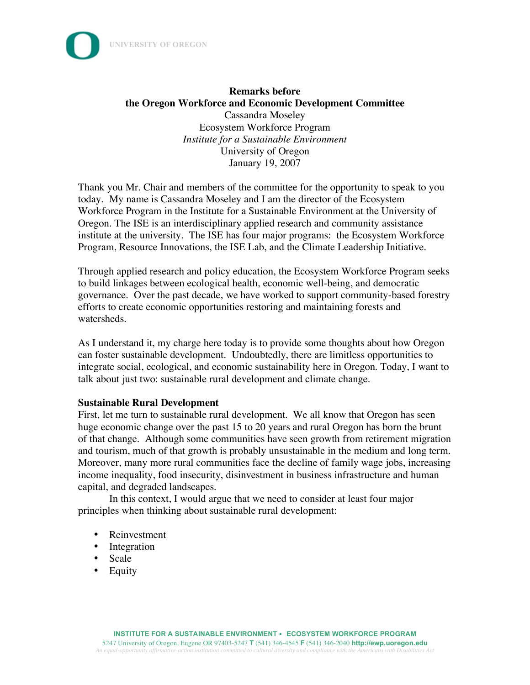



Thank you Mr. Chair and members of the committee for the opportunity to speak to you today. My name is Cassandra Moseley and I am the director of the Ecosystem Workforce Program in the Institute for a Sustainable Environment at the University of Oregon. The ISE is an interdisciplinary applied research and community assistance institute at the university. The ISE has four major programs: the Ecosystem Workforce Program, Resource Innovations, the ISE Lab, and the Climate Leadership Initiative.

Through applied research and policy education, the Ecosystem Workforce Program seeks to build linkages between ecological health, economic well-being, and democratic governance. Over the past decade, we have worked to support community-based forestry efforts to create economic opportunities restoring and maintaining forests and watersheds.

As I understand it, my charge here today is to provide some thoughts about how Oregon can foster sustainable development. Undoubtedly, there are limitless opportunities to integrate social, ecological, and economic sustainability here in Oregon. Today, I want to talk about just two: sustainable rural development and climate change.

## **Sustainable Rural Development**

First, let me turn to sustainable rural development. We all know that Oregon has seen huge economic change over the past 15 to 20 years and rural Oregon has born the brunt of that change. Although some communities have seen growth from retirement migration and tourism, much of that growth is probably unsustainable in the medium and long term. Moreover, many more rural communities face the decline of family wage jobs, increasing income inequality, food insecurity, disinvestment in business infrastructure and human capital, and degraded landscapes.

In this context, I would argue that we need to consider at least four major principles when thinking about sustainable rural development:

- Reinvestment
- Integration
- Scale
- Equity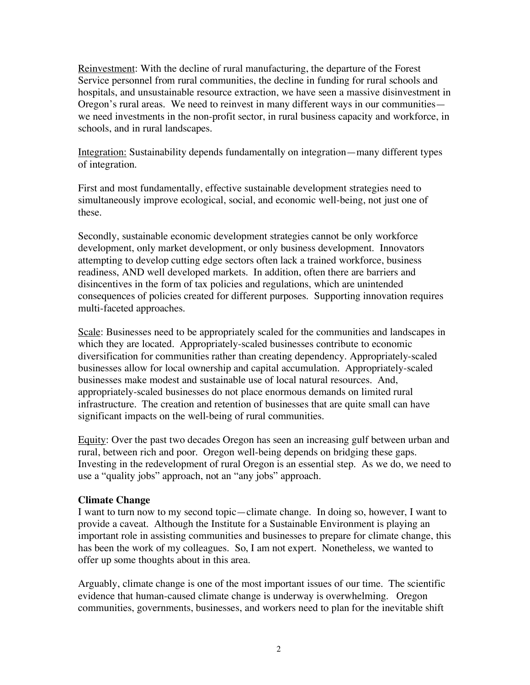Reinvestment: With the decline of rural manufacturing, the departure of the Forest Service personnel from rural communities, the decline in funding for rural schools and hospitals, and unsustainable resource extraction, we have seen a massive disinvestment in Oregon's rural areas. We need to reinvest in many different ways in our communities we need investments in the non-profit sector, in rural business capacity and workforce, in schools, and in rural landscapes.

Integration: Sustainability depends fundamentally on integration—many different types of integration.

First and most fundamentally, effective sustainable development strategies need to simultaneously improve ecological, social, and economic well-being, not just one of these.

Secondly, sustainable economic development strategies cannot be only workforce development, only market development, or only business development. Innovators attempting to develop cutting edge sectors often lack a trained workforce, business readiness, AND well developed markets. In addition, often there are barriers and disincentives in the form of tax policies and regulations, which are unintended consequences of policies created for different purposes. Supporting innovation requires multi-faceted approaches.

Scale: Businesses need to be appropriately scaled for the communities and landscapes in which they are located. Appropriately-scaled businesses contribute to economic diversification for communities rather than creating dependency. Appropriately-scaled businesses allow for local ownership and capital accumulation. Appropriately-scaled businesses make modest and sustainable use of local natural resources. And, appropriately-scaled businesses do not place enormous demands on limited rural infrastructure. The creation and retention of businesses that are quite small can have significant impacts on the well-being of rural communities.

Equity: Over the past two decades Oregon has seen an increasing gulf between urban and rural, between rich and poor. Oregon well-being depends on bridging these gaps. Investing in the redevelopment of rural Oregon is an essential step. As we do, we need to use a "quality jobs" approach, not an "any jobs" approach.

## **Climate Change**

I want to turn now to my second topic—climate change. In doing so, however, I want to provide a caveat. Although the Institute for a Sustainable Environment is playing an important role in assisting communities and businesses to prepare for climate change, this has been the work of my colleagues. So, I am not expert. Nonetheless, we wanted to offer up some thoughts about in this area.

Arguably, climate change is one of the most important issues of our time. The scientific evidence that human-caused climate change is underway is overwhelming. Oregon communities, governments, businesses, and workers need to plan for the inevitable shift